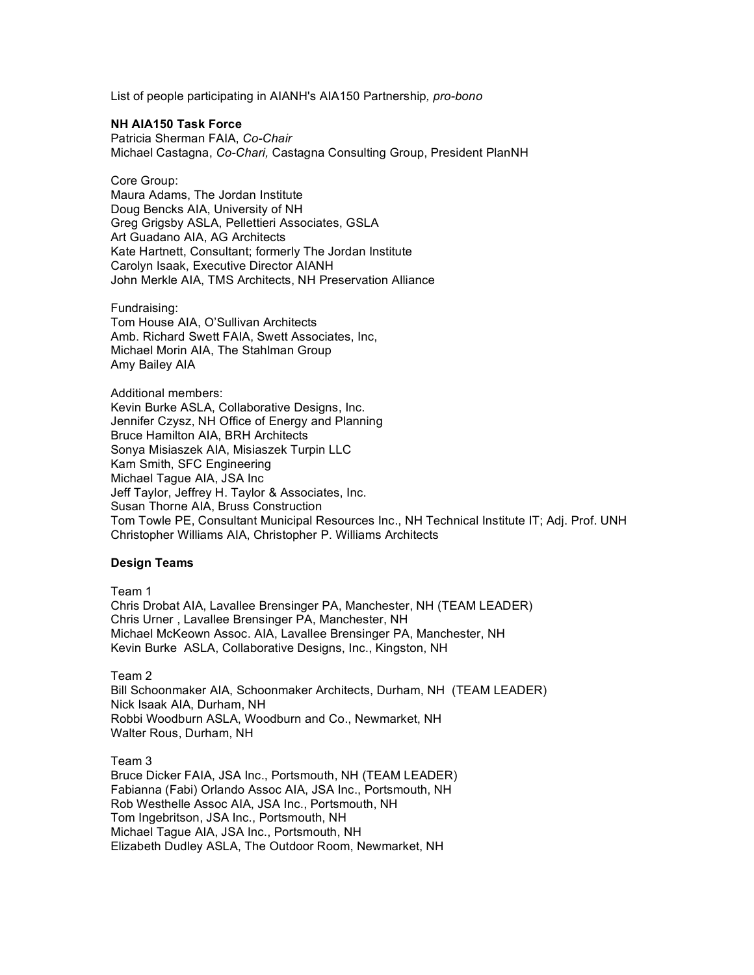List of people participating in AIANH's AIA150 Partnership*, pro-bono*

#### **NH AIA150 Task Force**

Patricia Sherman FAIA, *Co-Chair* Michael Castagna, *Co-Chari,* Castagna Consulting Group, President PlanNH

Core Group: Maura Adams, The Jordan Institute Doug Bencks AIA, University of NH Greg Grigsby ASLA, Pellettieri Associates, GSLA Art Guadano AIA, AG Architects Kate Hartnett, Consultant; formerly The Jordan Institute Carolyn Isaak, Executive Director AIANH John Merkle AIA, TMS Architects, NH Preservation Alliance

Fundraising: Tom House AIA, O'Sullivan Architects Amb. Richard Swett FAIA, Swett Associates, Inc, Michael Morin AIA, The Stahlman Group Amy Bailey AIA

Additional members: Kevin Burke ASLA, Collaborative Designs, Inc. Jennifer Czysz, NH Office of Energy and Planning Bruce Hamilton AIA, BRH Architects Sonya Misiaszek AIA, Misiaszek Turpin LLC Kam Smith, SFC Engineering Michael Tague AIA, JSA Inc Jeff Taylor, Jeffrey H. Taylor & Associates, Inc. Susan Thorne AIA, Bruss Construction Tom Towle PE, Consultant Municipal Resources Inc., NH Technical Institute IT; Adj. Prof. UNH Christopher Williams AIA, Christopher P. Williams Architects

#### **Design Teams**

Team 1 Chris Drobat AIA, Lavallee Brensinger PA, Manchester, NH (TEAM LEADER) Chris Urner , Lavallee Brensinger PA, Manchester, NH Michael McKeown Assoc. AIA, Lavallee Brensinger PA, Manchester, NH Kevin Burke ASLA, Collaborative Designs, Inc., Kingston, NH

Team 2

Bill Schoonmaker AIA, Schoonmaker Architects, Durham, NH (TEAM LEADER) Nick Isaak AIA, Durham, NH Robbi Woodburn ASLA, Woodburn and Co., Newmarket, NH Walter Rous, Durham, NH

Team 3 Bruce Dicker FAIA, JSA Inc., Portsmouth, NH (TEAM LEADER) Fabianna (Fabi) Orlando Assoc AIA, JSA Inc., Portsmouth, NH Rob Westhelle Assoc AIA, JSA Inc., Portsmouth, NH Tom Ingebritson, JSA Inc., Portsmouth, NH Michael Tague AIA, JSA Inc., Portsmouth, NH Elizabeth Dudley ASLA, The Outdoor Room, Newmarket, NH